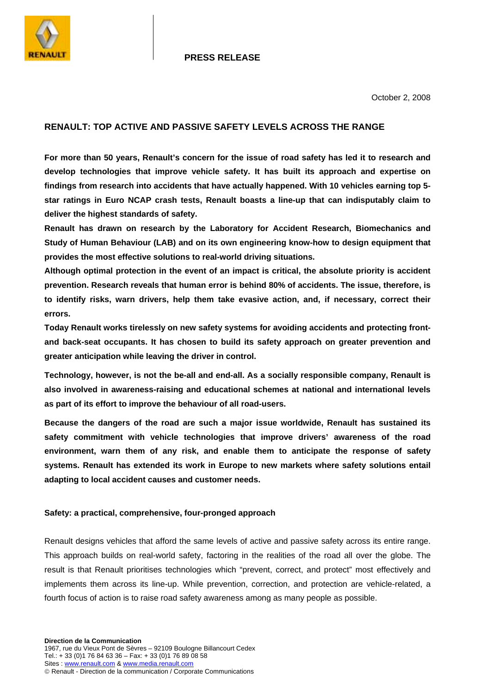

## **PRESS RELEASE**

October 2, 2008

# **RENAULT: TOP ACTIVE AND PASSIVE SAFETY LEVELS ACROSS THE RANGE**

**For more than 50 years, Renault's concern for the issue of road safety has led it to research and develop technologies that improve vehicle safety. It has built its approach and expertise on findings from research into accidents that have actually happened. With 10 vehicles earning top 5 star ratings in Euro NCAP crash tests, Renault boasts a line-up that can indisputably claim to deliver the highest standards of safety.** 

**Renault has drawn on research by the Laboratory for Accident Research, Biomechanics and Study of Human Behaviour (LAB) and on its own engineering know-how to design equipment that provides the most effective solutions to real-world driving situations.** 

**Although optimal protection in the event of an impact is critical, the absolute priority is accident prevention. Research reveals that human error is behind 80% of accidents. The issue, therefore, is to identify risks, warn drivers, help them take evasive action, and, if necessary, correct their errors.** 

**Today Renault works tirelessly on new safety systems for avoiding accidents and protecting frontand back-seat occupants. It has chosen to build its safety approach on greater prevention and greater anticipation while leaving the driver in control.** 

**Technology, however, is not the be-all and end-all. As a socially responsible company, Renault is also involved in awareness-raising and educational schemes at national and international levels as part of its effort to improve the behaviour of all road-users.** 

**Because the dangers of the road are such a major issue worldwide, Renault has sustained its safety commitment with vehicle technologies that improve drivers' awareness of the road environment, warn them of any risk, and enable them to anticipate the response of safety systems. Renault has extended its work in Europe to new markets where safety solutions entail adapting to local accident causes and customer needs.** 

## **Safety: a practical, comprehensive, four-pronged approach**

Renault designs vehicles that afford the same levels of active and passive safety across its entire range. This approach builds on real-world safety, factoring in the realities of the road all over the globe. The result is that Renault prioritises technologies which "prevent, correct, and protect" most effectively and implements them across its line-up. While prevention, correction, and protection are vehicle-related, a fourth focus of action is to raise road safety awareness among as many people as possible.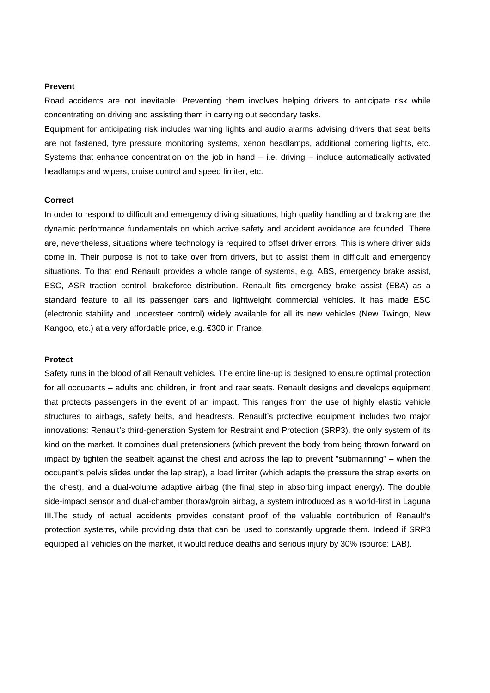## **Prevent**

Road accidents are not inevitable. Preventing them involves helping drivers to anticipate risk while concentrating on driving and assisting them in carrying out secondary tasks.

Equipment for anticipating risk includes warning lights and audio alarms advising drivers that seat belts are not fastened, tyre pressure monitoring systems, xenon headlamps, additional cornering lights, etc. Systems that enhance concentration on the job in hand – i.e. driving – include automatically activated headlamps and wipers, cruise control and speed limiter, etc.

#### **Correct**

In order to respond to difficult and emergency driving situations, high quality handling and braking are the dynamic performance fundamentals on which active safety and accident avoidance are founded. There are, nevertheless, situations where technology is required to offset driver errors. This is where driver aids come in. Their purpose is not to take over from drivers, but to assist them in difficult and emergency situations. To that end Renault provides a whole range of systems, e.g. ABS, emergency brake assist, ESC, ASR traction control, brakeforce distribution. Renault fits emergency brake assist (EBA) as a standard feature to all its passenger cars and lightweight commercial vehicles. It has made ESC (electronic stability and understeer control) widely available for all its new vehicles (New Twingo, New Kangoo, etc.) at a very affordable price, e.g. €300 in France.

## **Protect**

Safety runs in the blood of all Renault vehicles. The entire line-up is designed to ensure optimal protection for all occupants – adults and children, in front and rear seats. Renault designs and develops equipment that protects passengers in the event of an impact. This ranges from the use of highly elastic vehicle structures to airbags, safety belts, and headrests. Renault's protective equipment includes two major innovations: Renault's third-generation System for Restraint and Protection (SRP3), the only system of its kind on the market. It combines dual pretensioners (which prevent the body from being thrown forward on impact by tighten the seatbelt against the chest and across the lap to prevent "submarining" – when the occupant's pelvis slides under the lap strap), a load limiter (which adapts the pressure the strap exerts on the chest), and a dual-volume adaptive airbag (the final step in absorbing impact energy). The double side-impact sensor and dual-chamber thorax/groin airbag, a system introduced as a world-first in Laguna III.The study of actual accidents provides constant proof of the valuable contribution of Renault's protection systems, while providing data that can be used to constantly upgrade them. Indeed if SRP3 equipped all vehicles on the market, it would reduce deaths and serious injury by 30% (source: LAB).